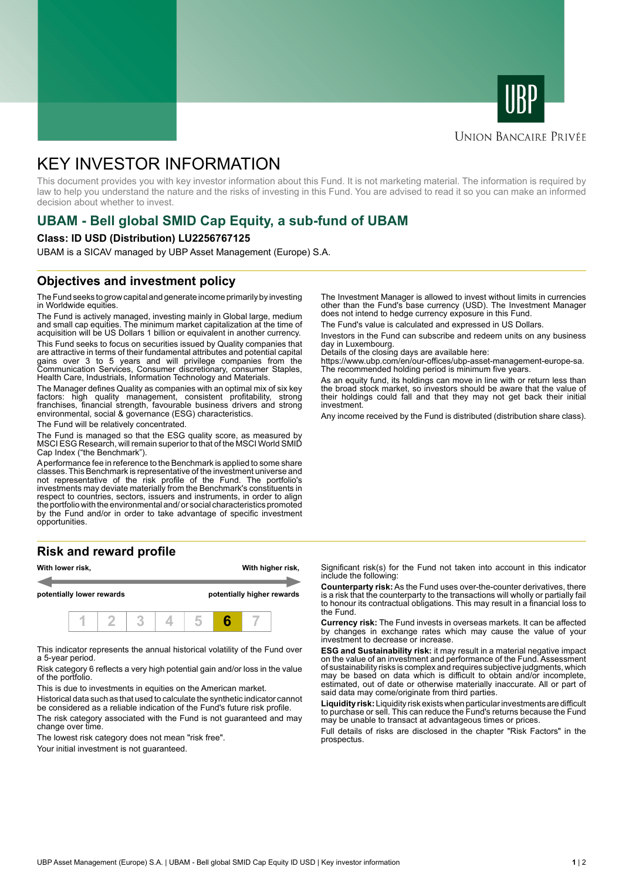



# **UNION BANCAIRE PRIVÉE**

# KEY INVESTOR INFORMATION

This document provides you with key investor information about this Fund. It is not marketing material. The information is required by law to help you understand the nature and the risks of investing in this Fund. You are advised to read it so you can make an informed decision about whether to invest.

# **UBAM - Bell global SMID Cap Equity, a sub-fund of UBAM**

### **Class: ID USD (Distribution) LU2256767125**

UBAM is a SICAV managed by UBP Asset Management (Europe) S.A.

# **Objectives and investment policy**

The Fund seeks to grow capital and generate income primarily by investing in Worldwide equities.

The Fund is actively managed, investing mainly in Global large, medium and small cap equities. The minimum market capitalization at the time of acquisition will be US Dollars 1 billion or equivalent in another currency.

This Fund seeks to focus on securities issued by Quality companies that are attractive in terms of their fundamental attributes and potential capital gains over 3 to 5 years and will privilege companies from the Communication Services, Consumer discretionary, consumer Staples, Health Care, Industrials, Information Technology and Materials.

The Manager defines Quality as companies with an optimal mix of six key factors: high quality management, consistent profitability, strong franchises, financial strength, favourable business drivers and strong environmental, social & governance (ESG) characteristics.

The Fund will be relatively concentrated.

The Fund is managed so that the ESG quality score, as measured by MSCI ESG Research, will remain superior to that of the MSCI World SMID Cap Index ("the Benchmark").

A performance fee in reference to the Benchmark is applied to some share classes. This Benchmark is representative of the investment universe and not representative of the risk profile of the Fund. The portfolio's investments may deviate materially from the Benchmark's constituents in respect to countries, sectors, issuers and instruments, in order to align the portfolio with the environmental and/ or social characteristics promoted by the Fund and/or in order to take advantage of specific investment opportunities.

## **Risk and reward profile**



This indicator represents the annual historical volatility of the Fund over a 5-year period.

Risk category 6 reflects a very high potential gain and/or loss in the value of the portfolio.

This is due to investments in equities on the American market.

Historical data such as that used to calculate the synthetic indicator cannot be considered as a reliable indication of the Fund's future risk profile.

The risk category associated with the Fund is not guaranteed and may change over time.

The lowest risk category does not mean "risk free".

Your initial investment is not quaranteed.

The Investment Manager is allowed to invest without limits in currencies other than the Fund's base currency (USD). The Investment Manager does not intend to hedge currency exposure in this Fund.

The Fund's value is calculated and expressed in US Dollars.

Investors in the Fund can subscribe and redeem units on any business day in Luxembourg.

Details of the closing days are available here:

https://www.ubp.com/en/our-offices/ubp-asset-management-europe-sa. The recommended holding period is minimum five years.

As an equity fund, its holdings can move in line with or return less than the broad stock market, so investors should be aware that the value of their holdings could fall and that they may not get back their initial investment.

Any income received by the Fund is distributed (distribution share class).

Significant risk(s) for the Fund not taken into account in this indicator include the following:

**Counterparty risk:** As the Fund uses over-the-counter derivatives, there is a risk that the counterparty to the transactions will wholly or partially fail to honour its contractual obligations. This may result in a financial loss to the Fund.

**Currency risk:** The Fund invests in overseas markets. It can be affected by changes in exchange rates which may cause the value of your investment to decrease or increase.

**ESG and Sustainability risk:** it may result in a material negative impact on the value of an investment and performance of the Fund. Assessment of sustainability risks is complex and requires subjective judgments, which may be based on data which is difficult to obtain and/or incomplete, estimated, out of date or otherwise materially inaccurate. All or part of said data may come/originate from third parties.

**Liquidity risk:** Liquidity risk exists when particular investments are difficult to purchase or sell. This can reduce the Fund's returns because the Fund may be unable to transact at advantageous times or prices.

Full details of risks are disclosed in the chapter "Risk Factors" in the prospectus.